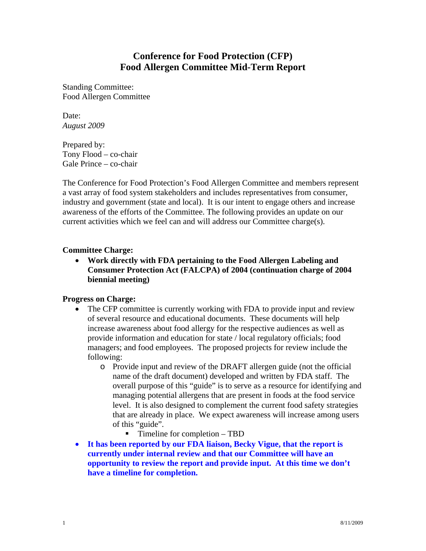# **Conference for Food Protection (CFP) Food Allergen Committee Mid-Term Report**

Standing Committee: Food Allergen Committee

Date: *August 2009* 

Prepared by: Tony Flood – co-chair Gale Prince – co-chair

The Conference for Food Protection's Food Allergen Committee and members represent a vast array of food system stakeholders and includes representatives from consumer, industry and government (state and local). It is our intent to engage others and increase awareness of the efforts of the Committee. The following provides an update on our current activities which we feel can and will address our Committee charge(s).

## **Committee Charge:**

• **Work directly with FDA pertaining to the Food Allergen Labeling and Consumer Protection Act (FALCPA) of 2004 (continuation charge of 2004 biennial meeting)** 

## **Progress on Charge:**

- The CFP committee is currently working with FDA to provide input and review of several resource and educational documents. These documents will help increase awareness about food allergy for the respective audiences as well as provide information and education for state / local regulatory officials; food managers; and food employees. The proposed projects for review include the following:
	- o Provide input and review of the DRAFT allergen guide (not the official name of the draft document) developed and written by FDA staff. The overall purpose of this "guide" is to serve as a resource for identifying and managing potential allergens that are present in foods at the food service level. It is also designed to complement the current food safety strategies that are already in place. We expect awareness will increase among users of this "guide".
		- Timeline for completion TBD
- **It has been reported by our FDA liaison, Becky Vigue, that the report is currently under internal review and that our Committee will have an opportunity to review the report and provide input. At this time we don't have a timeline for completion.**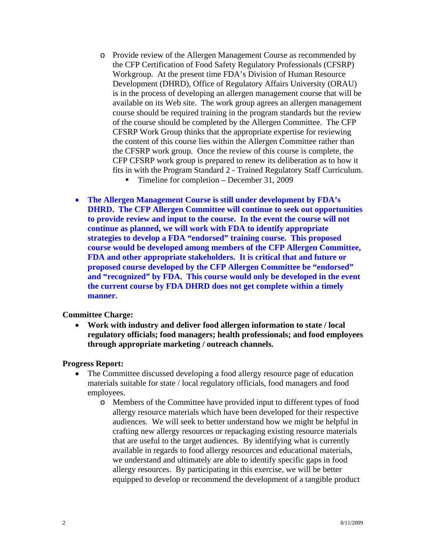- o Provide review of the Allergen Management Course as recommended by the CFP Certification of Food Safety Regulatory Professionals (CFSRP) Workgroup. At the present time FDA's Division of Human Resource Development (DHRD), Office of Regulatory Affairs University (ORAU) is in the process of developing an allergen management course that will be available on its Web site. The work group agrees an allergen management course should be required training in the program standards but the review of the course should be completed by the Allergen Committee. The CFP CFSRP Work Group thinks that the appropriate expertise for reviewing the content of this course lies within the Allergen Committee rather than the CFSRP work group. Once the review of this course is complete, the CFP CFSRP work group is prepared to renew its deliberation as to how it fits in with the Program Standard 2 - Trained Regulatory Staff Curriculum.
	- Timeline for completion December 31, 2009
- **The Allergen Management Course is still under development by FDA's DHRD. The CFP Allergen Committee will continue to seek out opportunities to provide review and input to the course. In the event the course will not continue as planned, we will work with FDA to identify appropriate strategies to develop a FDA "endorsed" training course. This proposed course would be developed among members of the CFP Allergen Committee, FDA and other appropriate stakeholders. It is critical that and future or proposed course developed by the CFP Allergen Committee be "endorsed" and "recognized" by FDA. This course would only be developed in the event the current course by FDA DHRD does not get complete within a timely manner.**

#### **Committee Charge:**

• **Work with industry and deliver food allergen information to state / local regulatory officials; food managers; health professionals; and food employees through appropriate marketing / outreach channels.** 

#### **Progress Report:**

- The Committee discussed developing a food allergy resource page of education materials suitable for state / local regulatory officials, food managers and food employees.
	- o Members of the Committee have provided input to different types of food allergy resource materials which have been developed for their respective audiences. We will seek to better understand how we might be helpful in crafting new allergy resources or repackaging existing resource materials that are useful to the target audiences. By identifying what is currently available in regards to food allergy resources and educational materials, we understand and ultimately are able to identify specific gaps in food allergy resources. By participating in this exercise, we will be better equipped to develop or recommend the development of a tangible product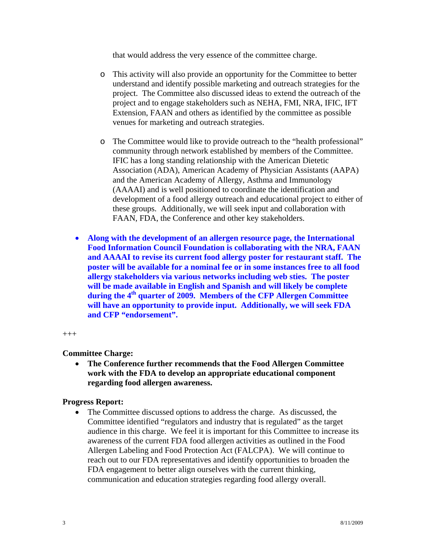that would address the very essence of the committee charge.

- o This activity will also provide an opportunity for the Committee to better understand and identify possible marketing and outreach strategies for the project. The Committee also discussed ideas to extend the outreach of the project and to engage stakeholders such as NEHA, FMI, NRA, IFIC, IFT Extension, FAAN and others as identified by the committee as possible venues for marketing and outreach strategies.
- o The Committee would like to provide outreach to the "health professional" community through network established by members of the Committee. IFIC has a long standing relationship with the American Dietetic Association (ADA), American Academy of Physician Assistants (AAPA) and the American Academy of Allergy, Asthma and Immunology (AAAAI) and is well positioned to coordinate the identification and development of a food allergy outreach and educational project to either of these groups. Additionally, we will seek input and collaboration with FAAN, FDA, the Conference and other key stakeholders.
- **Along with the development of an allergen resource page, the International Food Information Council Foundation is collaborating with the NRA, FAAN and AAAAI to revise its current food allergy poster for restaurant staff. The poster will be available for a nominal fee or in some instances free to all food allergy stakeholders via various networks including web sties. The poster will be made available in English and Spanish and will likely be complete**  during the 4<sup>th</sup> quarter of 2009. Members of the CFP Allergen Committee **will have an opportunity to provide input. Additionally, we will seek FDA and CFP "endorsement".**

 $^{+++}$ 

#### **Committee Charge:**

• **The Conference further recommends that the Food Allergen Committee work with the FDA to develop an appropriate educational component regarding food allergen awareness.** 

#### **Progress Report:**

• The Committee discussed options to address the charge. As discussed, the Committee identified "regulators and industry that is regulated" as the target audience in this charge. We feel it is important for this Committee to increase its awareness of the current FDA food allergen activities as outlined in the Food Allergen Labeling and Food Protection Act (FALCPA). We will continue to reach out to our FDA representatives and identify opportunities to broaden the FDA engagement to better align ourselves with the current thinking, communication and education strategies regarding food allergy overall.